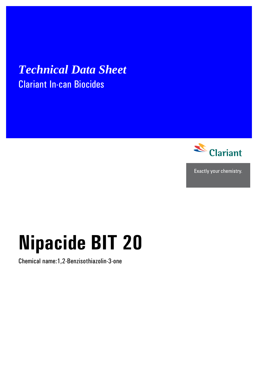# *Technical Data Sheet*  Clariant In-can Biocides



Exactly your chemistry.

# **Nipacide BIT 20**

Chemical name:1,2-Benzisothiazolin-3-one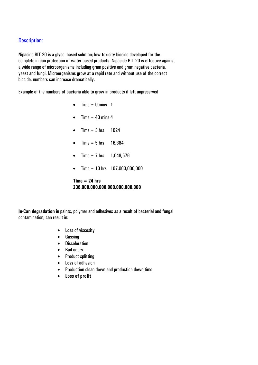# Description:

Nipacide BIT 20 is a glycol based solution; low toxicity biocide developed for the complete in-can protection of water based products. Nipacide BIT 20 is effective against a wide range of microorganisms including gram positive and gram negative bacteria, yeast and fungi. Microorganisms grow at a rapid rate and without use of the correct biocide, numbers can increase dramatically.

Example of the numbers of bacteria able to grow in products if left unpreserved

- Time =  $0$  mins  $1$
- Time  $= 40$  mins 4
- Time =  $3 \text{ hrs}$  1024
- Time =  $5 \text{ hrs}$  16,384
- Time =  $7 \text{ hrs}$  1,048,576
- Time = 10 hrs 107,000,000,000

#### **Time = 24 hrs 236,000,000,000,000,000,000,000**

**In-Can degradation** in paints, polymer and adhesives as a result of bacterial and fungal contamination, can result in:

- Loss of viscosity
- Gassing
- Discoloration
- Bad odors
- Product splitting
- Loss of adhesion
- Production clean down and production down time
- **Loss of profit**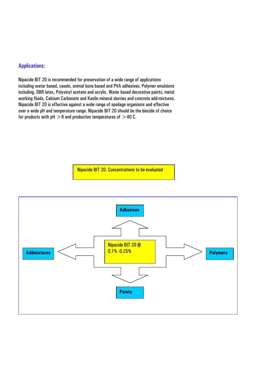# Applications:

Nipacide BIT 20 is recommended for preservation of a wide range of applications including water based, casein, animal bone based and PVA adhesives. Polymer emulsions including, SBR latex, Polyvinyl acetate and acrylic. Water based decorative paints, metal working fluids, Calcium Carbonate and Kaolin mineral slurries and concrete add-mixtures. Nipacide BIT 20 is effective against a wide range of spoilage organisms and effective over a wide pH and temperature range. Nipacide BIT 20 should be the biocide of choice for products with  $pH > 8$  and production temperatures of  $> 40$  C.

Nipacide BIT 20. Concentrations to be evaluated

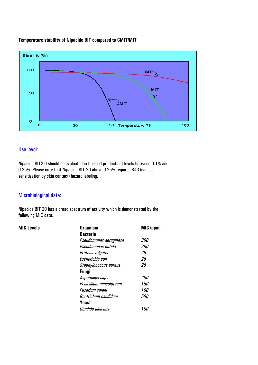#### **Temperature stability of Nipacide BIT compared to CMIT/MIT**



## Use level:

Nipacide BIT2 0 should be evaluated in finished products at levels between 0.1% and 0.25%. Please note that Nipacide BIT 20 above 0.25% requires R43 (causes sensitization by skin contact) hazard labeling.

# Microbiological data:

Nipacide BIT 20 has a broad spectrum of activity which is demonstrated by the following MIC data.

#### **MIC Levels**

| <b>MIC Levels</b> | <b>Organism</b>         | MIC (ppm)  |  |  |  |
|-------------------|-------------------------|------------|--|--|--|
|                   | <b>Bacteria</b>         |            |  |  |  |
|                   | Pseudomonas aeruginosa  | <i>300</i> |  |  |  |
|                   | Pseudomonas putida      | <i>250</i> |  |  |  |
|                   | Proteus vulgaris        | 25         |  |  |  |
|                   | Escherichia coli        | 25         |  |  |  |
|                   | Staphylococcus aureus   | 25         |  |  |  |
|                   | <b>Fungi</b>            |            |  |  |  |
|                   | Aspergillus niger       | <i>200</i> |  |  |  |
|                   | Penicillium mineoluteum | <i>150</i> |  |  |  |
|                   | Fusarium solani         | <i>100</i> |  |  |  |
|                   | Geotrichum candidum     | <i>500</i> |  |  |  |
|                   | Yeast                   |            |  |  |  |
|                   | Candida albicans        | 100        |  |  |  |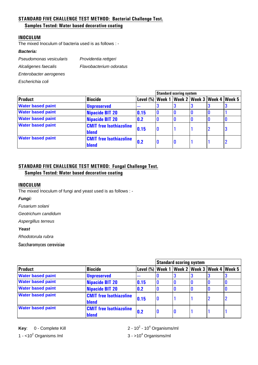### **STANDARD FIVE CHALLENGE TEST METHOD: Bacterial Challenge Test.**

#### **Samples Tested: Water based decorative coating**

#### **INOCULUM**

The mixed Inoculum of bacteria used is as follows : -

#### *Bacteria:*

*Pseudomonas vesicularis Providentia rettgeri* 

*Alcaligenes faecalis Flavobacterium odoratus* 

*Enterobacter aerogenes* 

*Escherichia coli* 

|                          |                                         |              |   | <b>Standard scoring system</b> |  |                                            |   |
|--------------------------|-----------------------------------------|--------------|---|--------------------------------|--|--------------------------------------------|---|
| <b>Product</b>           | <b>Biocide</b>                          | Level $(\%)$ |   |                                |  | Week 1   Week 2   Week 3   Week 4   Week 5 |   |
| <b>Water based paint</b> | <b>Unpreserved</b>                      | ---          |   |                                |  |                                            |   |
| <b>Water based paint</b> | <b>Nipacide BIT 20</b>                  | 0.15         |   |                                |  |                                            |   |
| <b>Water based paint</b> | <b>Nipacide BIT 20</b>                  | 0.2          |   |                                |  |                                            |   |
| <b>Water based paint</b> | <b>CMIT free Isothiazoline</b><br>blend | 0.15         | O |                                |  | $\overline{2}$                             | 3 |
| <b>Water based paint</b> | <b>CMIT free Isothiazoline</b><br>blend | 0.2          | O | 0                              |  |                                            |   |

# **STANDARD FIVE CHALLENGE TEST METHOD: Fungal Challenge Test. Samples Tested: Water based decorative coating**

#### **INOCULUM**

The mixed Inoculum of fungi and yeast used is as follows : -

#### *Fungi:*

*Fusarium solani* 

*Geotrichum candidum* 

*Aspergillus terreus* 

#### *Yeast*

*Rhodotorula rubra* 

Saccharomyces cerevisiae

|                          |                                                |                                                                | <b>Standard scoring system</b> |   |  |  |  |
|--------------------------|------------------------------------------------|----------------------------------------------------------------|--------------------------------|---|--|--|--|
| Product                  | Biocide                                        | Level $\frac{9}{6}$ Week 1   Week 2   Week 3   Week 4   Week 5 |                                |   |  |  |  |
| <b>Water based paint</b> | <b>Unpreserved</b>                             | ---                                                            |                                |   |  |  |  |
| <b>Water based paint</b> | <b>Nipacide BIT 20</b>                         | 0.15                                                           |                                |   |  |  |  |
| <b>Water based paint</b> | <b>Nipacide BIT 20</b>                         | 0.2                                                            |                                |   |  |  |  |
| <b>Water based paint</b> | <b>CMIT free Isothiazoline</b><br><b>blend</b> | 0.15                                                           | 0                              |   |  |  |  |
| <b>Water based paint</b> | <b>CMIT free Isothiazoline</b><br>blend        | 0.2                                                            | IU                             | 0 |  |  |  |

**Key:** 0 - Complete Kill 1 - <10<sup>2</sup> Organisms /ml  $3 - >10^4$ 

 $-10<sup>4</sup>$  Organisms/ml  $3 - 10<sup>4</sup>$  Organisms/ml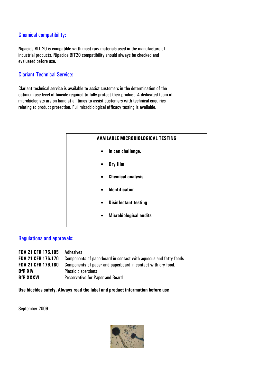# Chemical compatibility:

Nipacide BIT 20 is compatible wi th most raw materials used in the manufacture of industrial products. Nipacide BIT20 compatibility should always be checked and evaluated before use.

# Clariant Technical Service**:**

Clariant technical service is available to assist customers in the determination of the optimum use level of biocide required to fully protect their product. A dedicated team of microbiologists are on hand at all times to assist customers with technical enquiries relating to product protection. Full microbiological efficacy testing is available.



#### Regulations and approvals:

| <b>FDA 21 CFR 175.105</b> | Adhesives                                                        |
|---------------------------|------------------------------------------------------------------|
| <b>FDA 21 CFR 176.170</b> | Components of paperboard in contact with aqueous and fatty foods |
| <b>FDA 21 CFR 176.180</b> | Components of paper and paperboard in contact with dry food.     |
| <b>BfR XIV</b>            | <b>Plastic dispersions</b>                                       |
| <b>BfR XXXVI</b>          | <b>Preservative for Paper and Board</b>                          |

**Use biocides safely. Always read the label and product information before use** 

September 2009